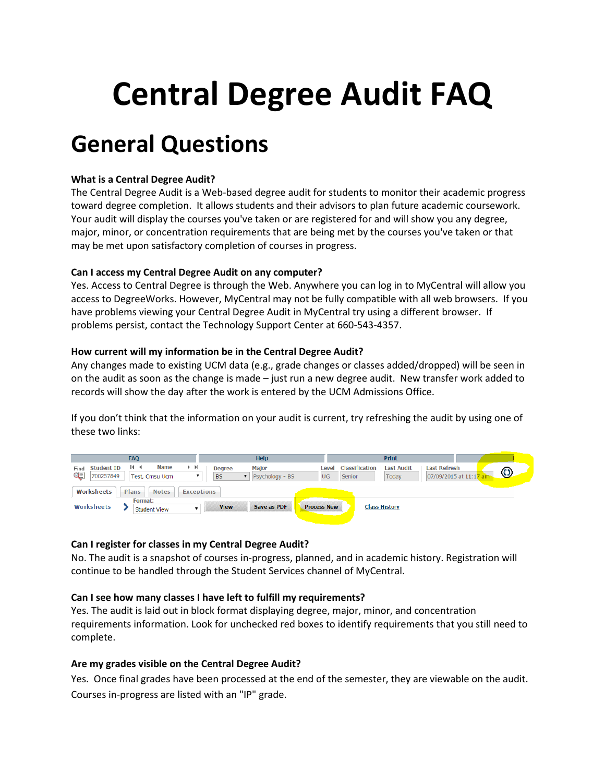# Central Degree Audit FAQ

# General Questions

# What is a Central Degree Audit?

The Central Degree Audit is a Web-based degree audit for students to monitor their academic progress toward degree completion. It allows students and their advisors to plan future academic coursework. Your audit will display the courses you've taken or are registered for and will show you any degree, major, minor, or concentration requirements that are being met by the courses you've taken or that may be met upon satisfactory completion of courses in progress.

#### Can I access my Central Degree Audit on any computer?

Yes. Access to Central Degree is through the Web. Anywhere you can log in to MyCentral will allow you access to DegreeWorks. However, MyCentral may not be fully compatible with all web browsers. If you have problems viewing your Central Degree Audit in MyCentral try using a different browser. If problems persist, contact the Technology Support Center at 660-543-4357.

#### How current will my information be in the Central Degree Audit?

Any changes made to existing UCM data (e.g., grade changes or classes added/dropped) will be seen in on the audit as soon as the change is made – just run a new degree audit. New transfer work added to records will show the day after the work is entered by the UCM Admissions Office.

If you don't think that the information on your audit is current, try refreshing the audit by using one of these two links:



# Can I register for classes in my Central Degree Audit?

No. The audit is a snapshot of courses in-progress, planned, and in academic history. Registration will continue to be handled through the Student Services channel of MyCentral.

#### Can I see how many classes I have left to fulfill my requirements?

Yes. The audit is laid out in block format displaying degree, major, minor, and concentration requirements information. Look for unchecked red boxes to identify requirements that you still need to complete.

#### Are my grades visible on the Central Degree Audit?

Yes. Once final grades have been processed at the end of the semester, they are viewable on the audit. Courses in-progress are listed with an "IP" grade.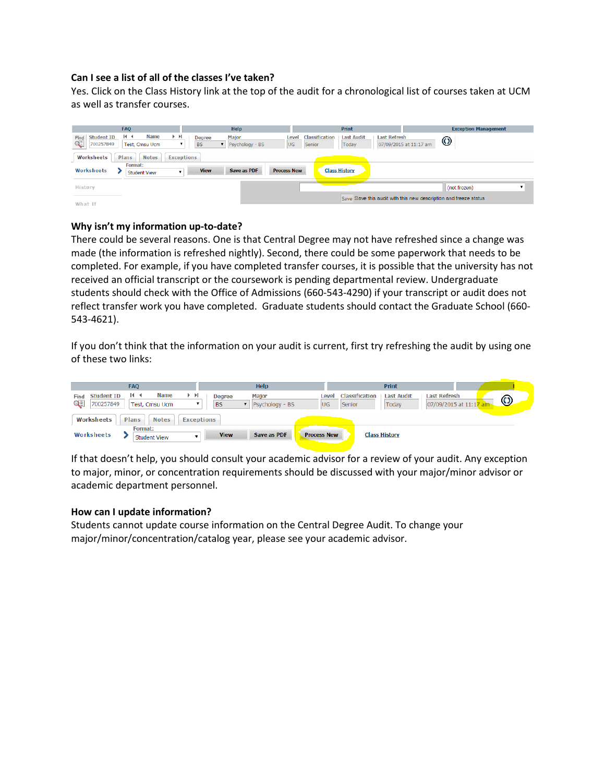#### Can I see a list of all of the classes I've taken?

Yes. Click on the Class History link at the top of the audit for a chronological list of courses taken at UCM as well as transfer courses.

| <b>FAO</b>                                           |                                |                   |                            | <b>Help</b>              |                    |                          | Print                      |                                                                  | <b>Exception Management</b> |
|------------------------------------------------------|--------------------------------|-------------------|----------------------------|--------------------------|--------------------|--------------------------|----------------------------|------------------------------------------------------------------|-----------------------------|
| 14.4<br><b>Student ID</b><br>Find<br>Q≣<br>700257849 | <b>Name</b><br>Test, Cmsu Ucm  | ÞН                | <b>Degree</b><br><b>BS</b> | Major<br>Psychology - BS | Level<br>UG.       | Classification<br>Senior | <b>Last Audit</b><br>Today | <b>Last Refresh</b><br>07/09/2015 at 11:17 am                    | $\odot$                     |
| Plans<br>Worksheets                                  | <b>Notes</b>                   | <b>Exceptions</b> |                            |                          |                    |                          |                            |                                                                  |                             |
| Worksheets                                           | Format:<br><b>Student View</b> |                   | <b>View</b>                | Save as PDF              | <b>Process New</b> |                          | <b>Class History</b>       |                                                                  |                             |
| History                                              |                                |                   |                            |                          |                    |                          |                            |                                                                  | (not frozen)                |
| What If                                              |                                |                   |                            |                          |                    |                          |                            | Save Save this audit with this new description and freeze status |                             |

#### Why isn't my information up-to-date?

There could be several reasons. One is that Central Degree may not have refreshed since a change was made (the information is refreshed nightly). Second, there could be some paperwork that needs to be completed. For example, if you have completed transfer courses, it is possible that the university has not received an official transcript or the coursework is pending departmental review. Undergraduate students should check with the Office of Admissions (660-543-4290) if your transcript or audit does not reflect transfer work you have completed. Graduate students should contact the Graduate School (660- 543-4621).

If you don't think that the information on your audit is current, first try refreshing the audit by using one of these two links:

| <b>FAQ</b>                                                                                           | <b>Help</b>                                                   |                                                | <b>Print</b>                                                                           |
|------------------------------------------------------------------------------------------------------|---------------------------------------------------------------|------------------------------------------------|----------------------------------------------------------------------------------------|
| <b>Name</b><br>> 1<br>14.4<br><b>Student ID</b><br>Find<br>$Q \equiv$<br>700257849<br>Test, Cmsu Ucm | <b>Major</b><br><b>Degree</b><br><b>BS</b><br>Psychology - BS | Classification<br>Level<br><b>UG</b><br>Senior | <b>Last Audit</b><br><b>Last Refresh</b><br>$\odot$<br>07/09/2015 at 11:17 an<br>Today |
| Worksheets<br>Plans<br><b>Notes</b>                                                                  | <b>Exceptions</b>                                             |                                                |                                                                                        |
| <b>Format:</b><br>Worksheets<br><b>Student View</b>                                                  | <b>View</b><br><b>Save as PDF</b>                             | <b>Process New</b>                             | <b>Class History</b>                                                                   |

If that doesn't help, you should consult your academic advisor for a review of your audit. Any exception to major, minor, or concentration requirements should be discussed with your major/minor advisor or academic department personnel.

#### How can I update information?

Students cannot update course information on the Central Degree Audit. To change your major/minor/concentration/catalog year, please see your academic advisor.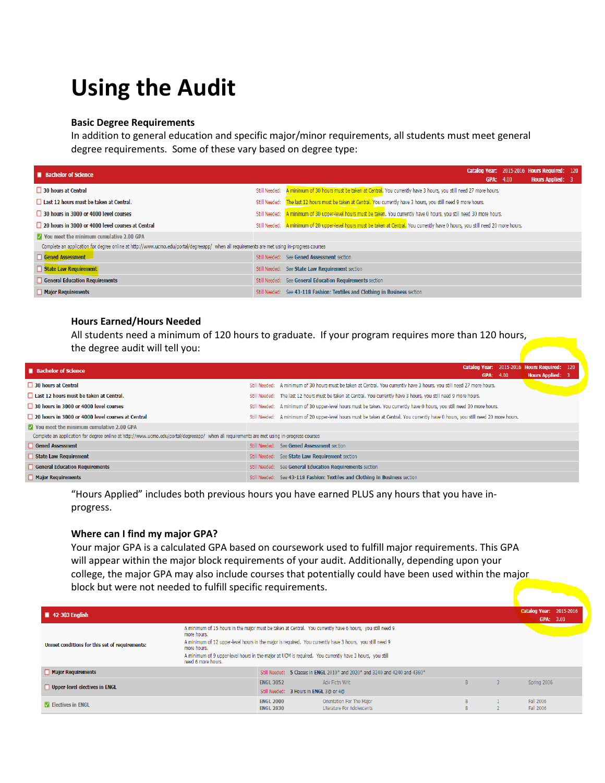# Using the Audit

#### Basic Degree Requirements

In addition to general education and specific major/minor requirements, all students must meet general degree requirements. Some of these vary based on degree type:

| <b>Bachelor of Science</b>                                                                                                                 | Catalog Year: 2015-2016 Hours Required: 120<br><b>Hours Applied: 3</b><br>GPA: 4.00                                                 |  |
|--------------------------------------------------------------------------------------------------------------------------------------------|-------------------------------------------------------------------------------------------------------------------------------------|--|
| 30 hours at Central                                                                                                                        | Still Needed: A minimum of 30 hours must be taken at Central. You currently have 3 hours, you still need 27 more hours.             |  |
| Last 12 hours must be taken at Central.                                                                                                    | Still Needed: The last 12 hours must be taken at Central. You currently have 3 hours, you still need 9 more hours.                  |  |
| 30 hours in 3000 or 4000 level courses                                                                                                     | Still Needed: A minimum of 30 upper-level hours must be taken. You currently have 0 hours, you still need 30 more hours.            |  |
| 20 hours in 3000 or 4000 level courses at Central                                                                                          | Still Needed: A minimum of 20 upper-level hours must be taken at Central. You currently have 0 hours, you still need 20 more hours. |  |
| <b>V</b> You meet the minimum cumulative 2.00 GPA                                                                                          |                                                                                                                                     |  |
| Complete an application for degree online at http://www.ucmo.edu/portal/degreeapp/ when all requirements are met using in-progress courses |                                                                                                                                     |  |
| Gened Assessment                                                                                                                           | Still Needed: See Gened Assessment section                                                                                          |  |
| State Law Requirement                                                                                                                      | Still Needed: See State Law Requirement section                                                                                     |  |
| <b>General Education Requirements</b>                                                                                                      | Still Needed: See General Education Requirements section                                                                            |  |
| <b>Major Requirements</b>                                                                                                                  | Still Needed: See 43-118 Fashion: Textiles and Clothing in Business section                                                         |  |

#### Hours Earned/Hours Needed

All students need a minimum of 120 hours to graduate. If your program requires more than 120 hours, the degree audit will tell you:

| <b>Bachelor of Science</b>                                                                                                                 | Catalog Year: 2015-2016 Hours Required: 120<br>GPA: 4.00                                                                            | <b>Hours Applied: 3</b> |  |
|--------------------------------------------------------------------------------------------------------------------------------------------|-------------------------------------------------------------------------------------------------------------------------------------|-------------------------|--|
| 30 hours at Central                                                                                                                        | Still Needed: A minimum of 30 hours must be taken at Central. You currently have 3 hours, you still need 27 more hours.             |                         |  |
| Last 12 hours must be taken at Central.                                                                                                    | Still Needed: The last 12 hours must be taken at Central. You currently have 3 hours, you still need 9 more hours.                  |                         |  |
| 30 hours in 3000 or 4000 level courses                                                                                                     | Still Needed: A minimum of 30 upper-level hours must be taken. You currently have 0 hours, you still need 30 more hours.            |                         |  |
| 20 hours in 3000 or 4000 level courses at Central                                                                                          | Still Needed: A minimum of 20 upper-level hours must be taken at Central. You currently have 0 hours, you still need 20 more hours. |                         |  |
| Vou meet the minimum cumulative 2.00 GPA                                                                                                   |                                                                                                                                     |                         |  |
| Complete an application for degree online at http://www.ucmo.edu/portal/degreeapp/ when all requirements are met using in-progress courses |                                                                                                                                     |                         |  |
| Gened Assessment                                                                                                                           | Still Needed: See Gened Assessment section                                                                                          |                         |  |
| State Law Requirement                                                                                                                      | Still Needed: See State Law Requirement section                                                                                     |                         |  |
| <b>General Education Requirements</b>                                                                                                      | Still Needed: See General Education Requirements section                                                                            |                         |  |
| <b>Major Requirements</b>                                                                                                                  | Still Needed: See 43-118 Fashion: Textiles and Clothing in Business section                                                         |                         |  |

"Hours Applied" includes both previous hours you have earned PLUS any hours that you have inprogress.

#### Where can I find my major GPA?

Your major GPA is a calculated GPA based on coursework used to fulfill major requirements. This GPA will appear within the major block requirements of your audit. Additionally, depending upon your college, the major GPA may also include courses that potentially could have been used within the major block but were not needed to fulfill specific requirements.

| $\blacksquare$ 42-303 English                  |                                                                                                                                                                                                                                                                         |                                                            |                                                                                                           |         |                        |  |  |
|------------------------------------------------|-------------------------------------------------------------------------------------------------------------------------------------------------------------------------------------------------------------------------------------------------------------------------|------------------------------------------------------------|-----------------------------------------------------------------------------------------------------------|---------|------------------------|--|--|
| Unmet conditions for this set of requirements: | more hours.<br>A minimum of 12 upper-level hours in the major is required. You currently have 3 hours, you still need 9<br>more hours.<br>A minimum of 9 upper-level hours in the major at UCM is required. You currently have 3 hours, you still<br>need 6 more hours. |                                                            | A minimum of 15 hours in the major must be taken at Central. You currently have 6 hours, you still need 9 |         |                        |  |  |
| Major Requirements                             |                                                                                                                                                                                                                                                                         |                                                            | Still Needed: 5 Classes in ENGL 2010* and 2020* and 3240 and 4240 and 4360*                               |         |                        |  |  |
| Upper-level electives in ENGL                  |                                                                                                                                                                                                                                                                         | <b>ENGL 3052</b><br>Still Needed: 3 Hours in ENGL 3@ or 4@ | Adv Fictn Writ                                                                                            | B.      | Spring 2006            |  |  |
| <b>M</b> Electives in ENGL                     |                                                                                                                                                                                                                                                                         | <b>ENGL 2000</b><br><b>ENGL 2830</b>                       | Orientation For The Major<br>Literature For Adolescents                                                   | B<br>R. | Fall 2006<br>Fall 2006 |  |  |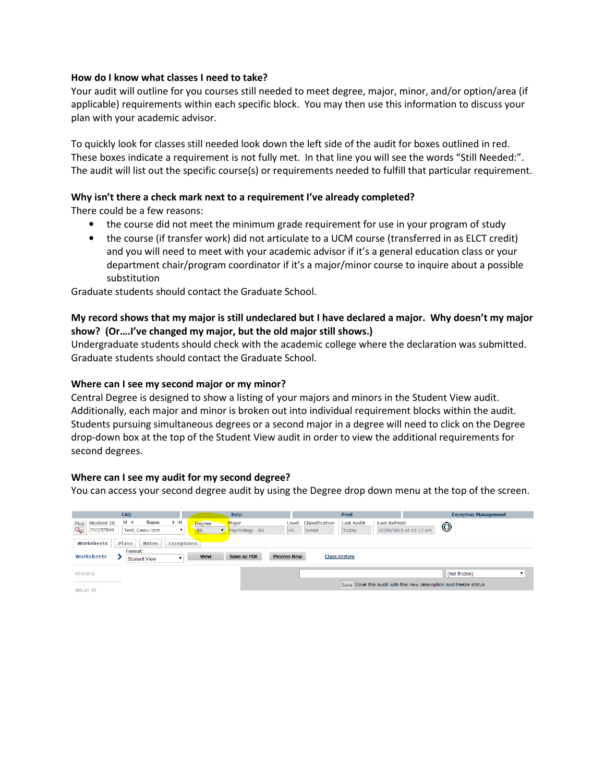#### How do I know what classes I need to take?

Your audit will outline for you courses still needed to meet degree, major, minor, and/or option/area (if applicable) requirements within each specific block. You may then use this information to discuss your plan with your academic advisor.

To quickly look for classes still needed look down the left side of the audit for boxes outlined in red. These boxes indicate a requirement is not fully met. In that line you will see the words "Still Needed:". The audit will list out the specific course(s) or requirements needed to fulfill that particular requirement.

#### Why isn't there a check mark next to a requirement I've already completed?

There could be a few reasons:

- the course did not meet the minimum grade requirement for use in your program of study
- the course (if transfer work) did not articulate to a UCM course (transferred in as ELCT credit) and you will need to meet with your academic advisor if it's a general education class or your department chair/program coordinator if it's a major/minor course to inquire about a possible substitution

Graduate students should contact the Graduate School.

# My record shows that my major is still undeclared but I have declared a major. Why doesn't my major show? (Or….I've changed my major, but the old major still shows.)

Undergraduate students should check with the academic college where the declaration was submitted. Graduate students should contact the Graduate School.

#### Where can I see my second major or my minor?

Central Degree is designed to show a listing of your majors and minors in the Student View audit. Additionally, each major and minor is broken out into individual requirement blocks within the audit. Students pursuing simultaneous degrees or a second major in a degree will need to click on the Degree drop-down box at the top of the Student View audit in order to view the additional requirements for second degrees.

#### Where can I see my audit for my second degree?

You can access your second degree audit by using the Degree drop down menu at the top of the screen.

| <b>FAO</b>                                               |                                                                                     | <b>Help</b>                                            |                                                 | <b>Print</b>                                      | <b>Exception Management</b>                                      |
|----------------------------------------------------------|-------------------------------------------------------------------------------------|--------------------------------------------------------|-------------------------------------------------|---------------------------------------------------|------------------------------------------------------------------|
| $14$ $4$<br><b>Student ID</b><br>Find<br>QĒ<br>700257849 | $\blacktriangleright$ $\blacktriangleright$<br><b>Name</b><br><b>Test. Cmsu Ucm</b> | Major<br><b>Degree</b><br><b>BS</b><br>Psychology - BS | <b>Classification</b><br>Level<br>UG.<br>Senior | <b>Last Audit</b><br><b>Last Refresh</b><br>Today | $\odot$<br>07/09/2015 at 11:17 am                                |
| Plans<br>Worksheets                                      | <b>Notes</b><br><b>Exceptions</b>                                                   |                                                        |                                                 |                                                   |                                                                  |
| Format:<br>Worksheets                                    | <b>Student View</b>                                                                 | <b>View</b><br>Save as PDF                             | <b>Process New</b>                              | <b>Class History</b>                              |                                                                  |
| <b>History</b>                                           |                                                                                     |                                                        |                                                 |                                                   | (not frozen)                                                     |
| What If                                                  |                                                                                     |                                                        |                                                 |                                                   | Save Save this audit with this new description and freeze status |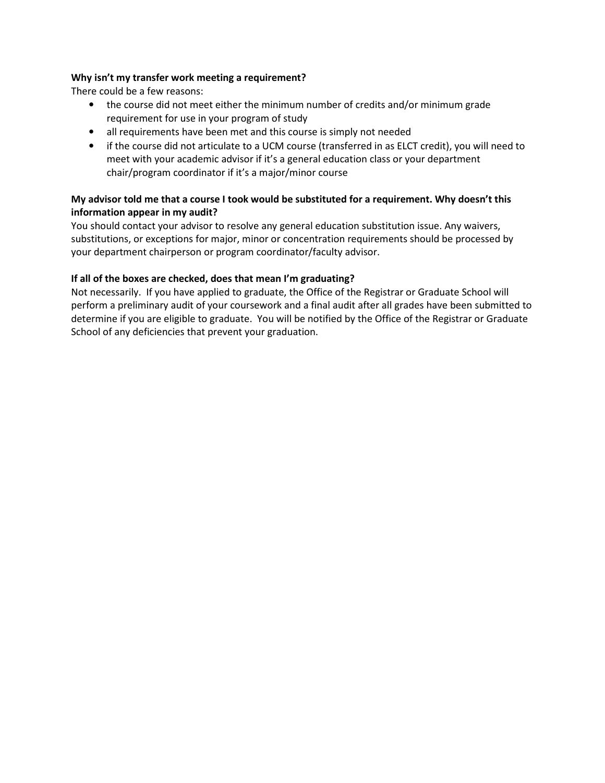#### Why isn't my transfer work meeting a requirement?

There could be a few reasons:

- the course did not meet either the minimum number of credits and/or minimum grade requirement for use in your program of study
- all requirements have been met and this course is simply not needed
- if the course did not articulate to a UCM course (transferred in as ELCT credit), you will need to meet with your academic advisor if it's a general education class or your department chair/program coordinator if it's a major/minor course

# My advisor told me that a course I took would be substituted for a requirement. Why doesn't this information appear in my audit?

You should contact your advisor to resolve any general education substitution issue. Any waivers, substitutions, or exceptions for major, minor or concentration requirements should be processed by your department chairperson or program coordinator/faculty advisor.

### If all of the boxes are checked, does that mean I'm graduating?

Not necessarily. If you have applied to graduate, the Office of the Registrar or Graduate School will perform a preliminary audit of your coursework and a final audit after all grades have been submitted to determine if you are eligible to graduate. You will be notified by the Office of the Registrar or Graduate School of any deficiencies that prevent your graduation.